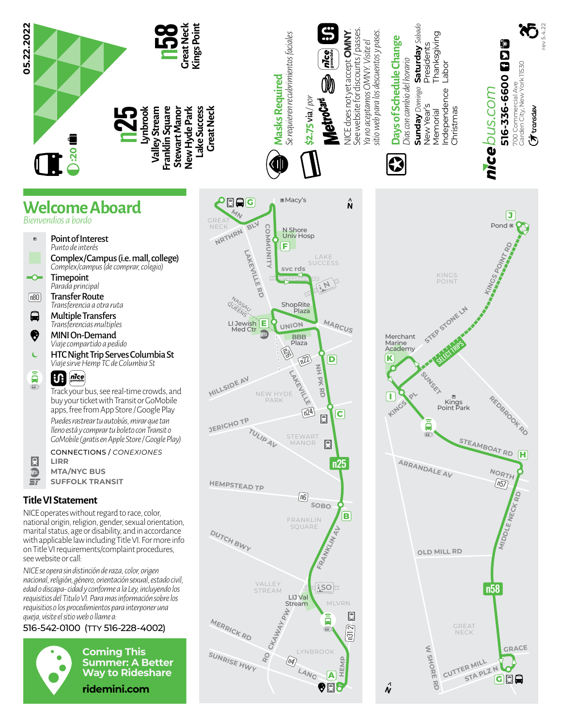



- Transfer Route *Transferencia a otra ruta*  $\boxed{n80}$
- $\blacksquare$ Multiple Transfers *Transferencias multiples*
- ❸ MINI On-Demand *Viaje compartido a pedido*
- $\epsilon$ HTC Night Trip Serves Columbia St *Viaje sirve Hemp TC de Columbia St*
- â  $\mathbf{u}$ *gomobile*  $66.$

Track your bus, see real-time crowds, and buy your ticket with Transit or GoMobile apps, free from App Store / Google Play *Puedes rastrear tu autobús, mirar que tan lleno está y comprar tu boleto con Transit o GoMobile (gratis en Apple Store / Google Play)*

CONNECTIONS / *CONEXIONES* **LIRR**

 $\overline{\mathbb{D}}$ **MTA/NYC BUS**  $\mathbf{r}$ **SUFFOLK TRANSIT**

## **Title VI Statement**

R

NICE operates without regard to race, color, national origin, religion, gender, sexual orientation, marital status, age or disability, and in accordance with applicable law including Title VI. For more info on Title VI requirements/complaint procedures, see website or call:

*NICE se opera sin distinción de raza, color, origen nacional, religión, género, orientación sexual, estado civil, edad o discapa- cidad y conforme a la Ley, incluyendo los requisitios del Titulo VI. Para mas información sobre los requisitios o los procedimientos para interponer una queja, visite el sitio web o llame a:*

## 516-542-0100 (TTY 516-228-4002)



**Coming This Summer: A Better Way to Rideshare ridemini.com**